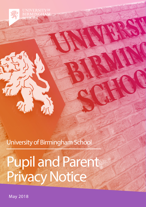**UNIVERSITYOF RMINGH** SCHOOL

University of Birmingham School

 $\sqrt{11}$ 

Pupil and Parent Privacy Notice

May 2018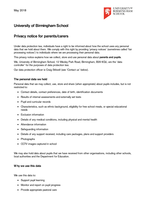

# **University of Birmingham School**

## **Privacy notice for parents/carers**

Under data protection law, individuals have a right to be informed about how the school uses any personal data that we hold about them. We comply with this right by providing 'privacy notices' (sometimes called 'fair processing notices') to individuals where we are processing their personal data.

This privacy notice explains how we collect, store and use personal data about **parents and pupils**.

We, University of Birmingham School, 12 Weoley Park Road, Birmingham, B29 6QU, are the 'data controller' for the purposes of data protection law.

Our data protection officer is Craig Stilwell (see 'Contact us' below).

## **The personal data we hold**

Personal data that we may collect, use, store and share (when appropriate) about pupils includes, but is not restricted to:

- Contact details, contact preferences, date of birth, identification documents
- Results of internal assessments and externally set tests
- Pupil and curricular records
- Characteristics, such as ethnic background, eligibility for free school meals, or special educational needs
- Exclusion information
- Details of any medical conditions, including physical and mental health
- Attendance information
- Safeguarding information
- Details of any support received, including care packages, plans and support providers
- Photographs
- CCTV images captured in school

We may also hold data about pupils that we have received from other organisations, including other schools, local authorities and the Department for Education.

## **W hy we use this data**

We use this data to:

- Support pupil learning
- Monitor and report on pupil progress
- Provide appropriate pastoral care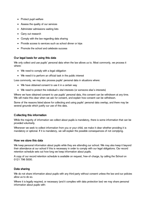- Protect pupil welfare
- Assess the quality of our services
- Administer admissions waiting lists
- Carry out research
- Comply with the law regarding data sharing
- Provide access to services such as school dinner or trips
- Promote the school and celebrate success

## **Our legal basis for using this data**

We only collect and use pupils' personal data when the law allows us to. Most commonly, we process it where:

- We need to comply with a legal obligation
- We need it to perform an official task in the public interest

Less commonly, we may also process pupils' personal data in situations where:

- We have obtained consent to use it in a certain way
- We need to protect the individual's vital interests (or someone else's interests)

Where we have obtained consent to use pupils' personal data, this consent can be withdrawn at any time. We will make this clear when we ask for consent, and explain how consent can be withdrawn.

Some of the reasons listed above for collecting and using pupils' personal data overlap, and there may be several grounds which justify our use of this data.

## **Collecting this information**

While the majority of information we collect about pupils is mandatory, there is some information that can be provided voluntarily.

Whenever we seek to collect information from you or your child, we make it clear whether providing it is mandatory or optional. If it is mandatory, we will explain the possible consequences of not complying.

## **How we store this data**

We keep personal information about pupils while they are attending our school. We may also keep it beyond their attendance at our school if this is necessary in order to comply with our legal obligations. Our record retention schedule sets out how long we keep information about pupils.

A copy of our record retention schedule is available on request, free-of-charge, by calling the School on 0121 796 5000.

## **Data sharing**

We do not share information about pupils with any third party without consent unless the law and our policies allow us to do so.

Where it is legally required, or necessary (and it complies with data protection law) we may share personal information about pupils with: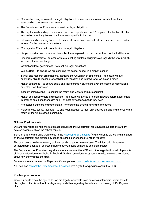- Our local authority to meet our legal obligations to share certain information with it, such as safeguarding concerns and exclusions
- The Department for Education to meet our legal obligations
- The pupil's family and representatives to provide updates on pupils' progress at school and to share information about any issues or achievements specific to that pupil
- Educators and examining bodies to ensure all pupils have access to all services we provide, and are entered for the relevant examinations
- Our regulator Ofsted to comply with our legal obligations
- Suppliers and service providers to enable them to provide the service we have contracted them for
- Financial organisations to ensure we are meeting our legal obligations as regards the way in which we spend the school budget
- Central and local government to meet our legal obligations
- Our auditors to ensure we are spending the school budget in a proper manner
- Survey and research organisations, including the University of Birmingham to ensure we are continually able to respond to feedback and research and improve what we do as a result
- Health authorities to ensure pupils and their parents / carers are given the option of vaccinations and other health updates
- Security organisations to ensure the safety and welfare of pupils and staff
- Health and social welfare organisations to ensure we are able to share relevant details about pupils in order to best keep them safe and / or meet any specific needs they have
- Professional advisers and consultants to ensure the smooth running of the school
- Police forces, courts, tribunals as and when needed, to meet any legal obligations and to ensure the safety of the whole school community

#### **National Pupil Database**

We are required to provide information about pupils to the Department for Education as part of statutory data collections such as the school census.

Some of this information is then stored in th[e National Pupil Database](https://www.gov.uk/government/publications/national-pupil-database-user-guide-and-supporting-information) (NPD), which is owned and managed by the Department and provides evidence on school performance to inform research.

The database is held electronically so it can easily be turned into statistics. The information is securely collected from a range of sources including schools, local authorities and exam boards.

The Department for Education may share information from the NPD with other organisations which promote children's education or wellbeing in England. Such organisations must agree to strict terms and conditions about how they will use the data.

For more information, see the Department's webpage on [how it collects and shares research data.](https://www.gov.uk/data-protection-how-we-collect-and-share-research-data)

You can also [contact the Department for Education](https://www.gov.uk/contact-dfe) with any further questions about the NPD.

#### **Youth support services**

Once our pupils reach the age of 13, we are legally required to pass on certain information about them to Birmingham City Council as it has legal responsibilities regarding the education or training of 13-19 yearolds.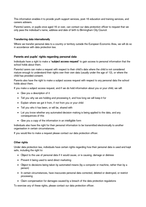This information enables it to provide youth support services, post-16 education and training services, and careers advisers.

Parents/carers, or pupils once aged 16 or over, can contact our data protection officer to request that we only pass the individual's name, address and date of birth to Birmingham City Council.

#### **Transferring data internationally**

Where we transfer personal data to a country or territory outside the European Economic Area, we will do so in accordance with data protection law.

## **Parents and pupils' rights regarding personal data**

Individuals have a right to make a **'subject access request'** to gain access to personal information that the school holds about them.

Parents/carers can make a request with respect to their child's data where the child is not considered mature enough to understand their rights over their own data (usually under the age of 12), or where the child has provided consent.

Parents also have the right to make a subject access request with respect to any personal data the school holds about them.

If you make a subject access request, and if we do hold information about you or your child, we will:

- Give you a description of it
- Tell you why we are holding and processing it, and how long we will keep it for
- Explain where we got it from, if not from you or your child
- Tell you who it has been, or will be, shared with
- Let you know whether any automated decision-making is being applied to the data, and any consequences of this
- Give you a copy of the information in an intelligible form

Individuals also have the right for their personal information to be transmitted electronically to another organisation in certain circumstances.

If you would like to make a request please contact our data protection officer.

#### **Other rights**

Under data protection law, individuals have certain rights regarding how their personal data is used and kept safe, including the right to:

- Object to the use of personal data if it would cause, or is causing, damage or distress
- Prevent it being used to send direct marketing
- Object to decisions being taken by automated means (by a computer or machine, rather than by a person)
- In certain circumstances, have inaccurate personal data corrected, deleted or destroyed, or restrict processing
- Claim compensation for damages caused by a breach of the data protection regulations

To exercise any of these rights, please contact our data protection officer.